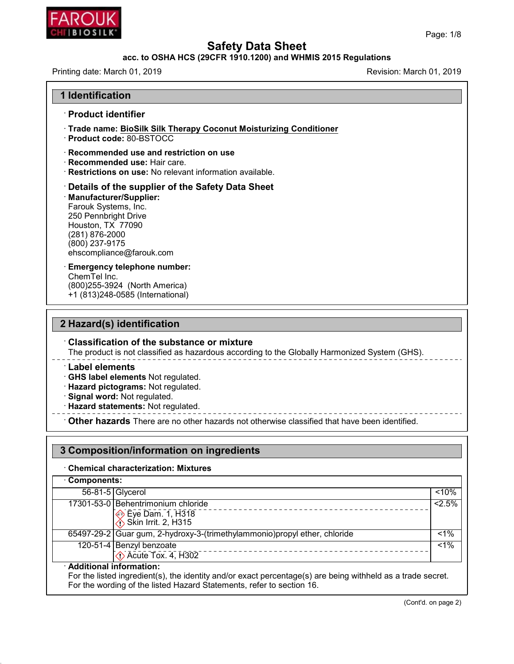

# **Safety Data Sheet<br>acc. to OSHA HCS (29CFR 1910.1200) and WHMIS 2015 Regulations<br>Revision: March<br>Revision: March**

| <b>CHILBIOSILK</b>                                                                                                                                                                                                | Page: 1/8                |  |  |  |
|-------------------------------------------------------------------------------------------------------------------------------------------------------------------------------------------------------------------|--------------------------|--|--|--|
| <b>Safety Data Sheet</b><br>acc. to OSHA HCS (29CFR 1910.1200) and WHMIS 2015 Regulations                                                                                                                         |                          |  |  |  |
| Printing date: March 01, 2019                                                                                                                                                                                     | Revision: March 01, 2019 |  |  |  |
| 1 Identification                                                                                                                                                                                                  |                          |  |  |  |
| · Product identifier                                                                                                                                                                                              |                          |  |  |  |
| · Trade name: BioSilk Silk Therapy Coconut Moisturizing Conditioner<br>· Product code: 80-BSTOCC                                                                                                                  |                          |  |  |  |
| $\cdot$ Recommended use and restriction on use<br>· Recommended use: Hair care.<br>· Restrictions on use: No relevant information available.                                                                      |                          |  |  |  |
| Details of the supplier of the Safety Data Sheet<br>· Manufacturer/Supplier:<br>Farouk Systems, Inc.<br>250 Pennbright Drive<br>Houston, TX 77090<br>(281) 876-2000<br>(800) 237-9175<br>ehscompliance@farouk.com |                          |  |  |  |
| <b>Emergency telephone number:</b><br>ChemTel Inc.<br>(800) 255-3924 (North America)<br>+1 (813)248-0585 (International)                                                                                          |                          |  |  |  |
| 2 Hazard(s) identification                                                                                                                                                                                        |                          |  |  |  |
| <b>Classification of the substance or mixture</b><br>The product is not classified as hazardous according to the Globally Harmonized System (GHS).                                                                |                          |  |  |  |
| <b>Label elements</b><br>GHS label elements Not regulated.<br>· Hazard pictograms: Not regulated.                                                                                                                 |                          |  |  |  |

# **2 Hazard(s) identification**

Classification of the substance or mixture<br>
The product is not classified as hazardous according to the Globally Harmonized System (GHS).<br>
Label elements<br>
CHS label elements Not regulated.<br>
Hazard pictograms: Not regulated

48.0

- 
- 
- 

**3ignal word:** Not regulated.<br> **3 Composition: And The Composition:**<br> **3 Composition: Composition:** There are no other hazards not otherwise classified that have been identified.

### **3 Composition/information on ingredients**

#### $\cdot$  Chemical characterization: Mixtures

| <b>Chemical characterization: Mixtures</b><br><b>Components:</b> |                                                                                                                                                                                                                   |         |  |
|------------------------------------------------------------------|-------------------------------------------------------------------------------------------------------------------------------------------------------------------------------------------------------------------|---------|--|
|                                                                  |                                                                                                                                                                                                                   |         |  |
|                                                                  | 17301-53-0 Behentrimonium chloride                                                                                                                                                                                | $2.5\%$ |  |
|                                                                  | → Eye Dam. 1, H318<br>$\bigotimes$ Skin Irrit. 2, H315                                                                                                                                                            |         |  |
|                                                                  | 65497-29-2 Guar gum, 2-hydroxy-3-(trimethylammonio) propyl ether, chloride                                                                                                                                        | $< 1\%$ |  |
|                                                                  | 120-51-4 Benzyl benzoate<br>$\Diamond$ Acute Tox. 4, H302                                                                                                                                                         | $1\%$   |  |
|                                                                  | · Additional information:<br>For the listed ingredient(s), the identity and/or exact percentage(s) are being withheld as a trade secret.<br>For the wording of the listed Hazard Statements, refer to section 16. |         |  |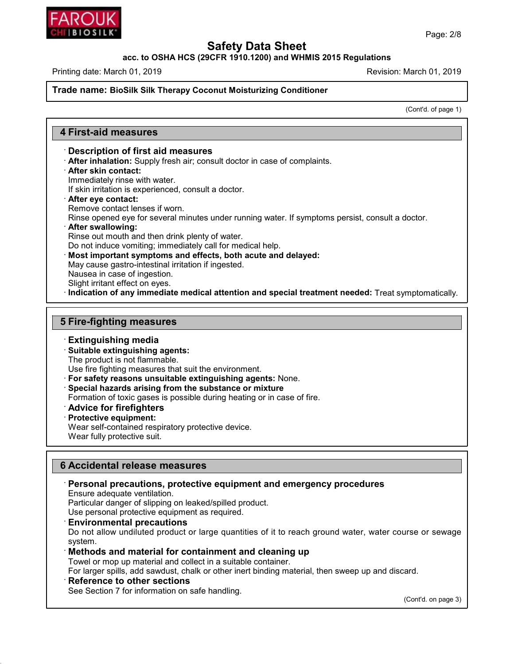

**acc. to OSHA HCS (29CFR 1910.1200) and WHMIS 2015 Regulations**

Printing date: March 01, 2019 **Revision: March 01, 2019** Revision: March 01, 2019

#### **Trade name: BioSilk Silk Therapy Coconut Moisturizing Conditioner**

(Cont'd. of page 1)

#### **4 First-aid measures**

#### · **Description of first aid measures**

· **After inhalation:** Supply fresh air; consult doctor in case of complaints.

· **After skin contact:**

Immediately rinse with water.

If skin irritation is experienced, consult a doctor.

- · **After eye contact:**
- Remove contact lenses if worn.

Rinse opened eye for several minutes under running water. If symptoms persist, consult a doctor.

#### · **After swallowing:**

Rinse out mouth and then drink plenty of water.

Do not induce vomiting; immediately call for medical help.

· **Most important symptoms and effects, both acute and delayed:**

May cause gastro-intestinal irritation if ingested.

- Nausea in case of ingestion.
- Slight irritant effect on eyes.
- · **Indication of any immediate medical attention and special treatment needed:** Treat symptomatically.

#### **5 Fire-fighting measures**

#### · **Extinguishing media**

- · **Suitable extinguishing agents:**
- The product is not flammable.

Use fire fighting measures that suit the environment.

- · **For safety reasons unsuitable extinguishing agents:** None.
- · **Special hazards arising from the substance or mixture**
- Formation of toxic gases is possible during heating or in case of fire.
- · **Advice for firefighters**
- · **Protective equipment:**

Wear self-contained respiratory protective device.

Wear fully protective suit.

#### **6 Accidental release measures**

#### · **Personal precautions, protective equipment and emergency procedures**

Ensure adequate ventilation.

Particular danger of slipping on leaked/spilled product.

Use personal protective equipment as required.

#### · **Environmental precautions**

Do not allow undiluted product or large quantities of it to reach ground water, water course or sewage system.

#### · **Methods and material for containment and cleaning up**

Towel or mop up material and collect in a suitable container.

For larger spills, add sawdust, chalk or other inert binding material, then sweep up and discard.

#### · **Reference to other sections**

48.0

See Section 7 for information on safe handling.

(Cont'd. on page 3)

Page: 2/8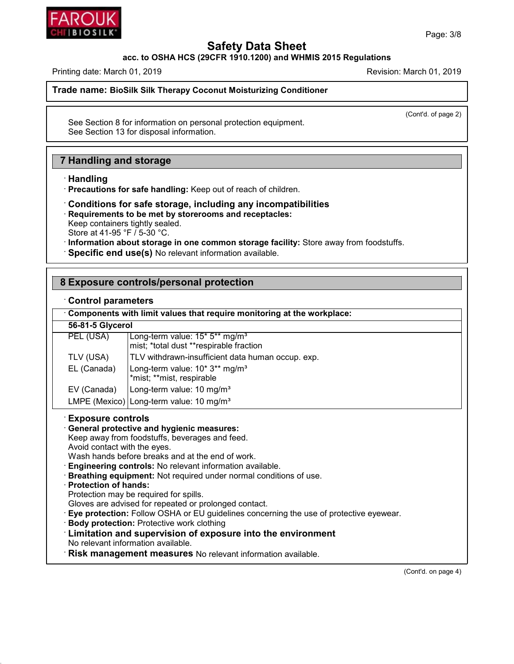

**acc. to OSHA HCS (29CFR 1910.1200) and WHMIS 2015 Regulations**

Printing date: March 01, 2019 **Printing date: March 01, 2019** Revision: March 01, 2019

**Trade name: BioSilk Silk Therapy Coconut Moisturizing Conditioner**

(Cont'd. of page 2)

See Section 8 for information on personal protection equipment. See Section 13 for disposal information.

#### **7 Handling and storage**

· **Handling**

48.0

- · **Precautions for safe handling:** Keep out of reach of children.
- · **Conditions for safe storage, including any incompatibilities** · **Requirements to be met by storerooms and receptacles:** Keep containers tightly sealed. Store at 41-95 °F / 5-30 °C. · **Information about storage in one common storage facility:** Store away from foodstuffs.
- · **Specific end use(s)** No relevant information available.

| 8 Exposure controls/personal protection                                                                                                                                                                                                                                                                                                                                                                                                                                                                                                                                                                                                                                                                                                                                                           |                                                                                       |  |  |  |
|---------------------------------------------------------------------------------------------------------------------------------------------------------------------------------------------------------------------------------------------------------------------------------------------------------------------------------------------------------------------------------------------------------------------------------------------------------------------------------------------------------------------------------------------------------------------------------------------------------------------------------------------------------------------------------------------------------------------------------------------------------------------------------------------------|---------------------------------------------------------------------------------------|--|--|--|
| <b>Control parameters</b><br>Components with limit values that require monitoring at the workplace:                                                                                                                                                                                                                                                                                                                                                                                                                                                                                                                                                                                                                                                                                               |                                                                                       |  |  |  |
|                                                                                                                                                                                                                                                                                                                                                                                                                                                                                                                                                                                                                                                                                                                                                                                                   |                                                                                       |  |  |  |
| PEL (USA)                                                                                                                                                                                                                                                                                                                                                                                                                                                                                                                                                                                                                                                                                                                                                                                         | Long-term value: 15* 5** mg/m <sup>3</sup><br>mist; *total dust **respirable fraction |  |  |  |
| TLV (USA)                                                                                                                                                                                                                                                                                                                                                                                                                                                                                                                                                                                                                                                                                                                                                                                         | TLV withdrawn-insufficient data human occup. exp.                                     |  |  |  |
| EL (Canada)                                                                                                                                                                                                                                                                                                                                                                                                                                                                                                                                                                                                                                                                                                                                                                                       | Long-term value: 10* 3** mg/m <sup>3</sup><br>*mist; **mist, respirable               |  |  |  |
| EV (Canada)                                                                                                                                                                                                                                                                                                                                                                                                                                                                                                                                                                                                                                                                                                                                                                                       | Long-term value: 10 mg/m <sup>3</sup>                                                 |  |  |  |
|                                                                                                                                                                                                                                                                                                                                                                                                                                                                                                                                                                                                                                                                                                                                                                                                   | LMPE (Mexico) Long-term value: 10 mg/m <sup>3</sup>                                   |  |  |  |
| <b>Exposure controls</b><br><b>General protective and hygienic measures:</b><br>Keep away from foodstuffs, beverages and feed.<br>Avoid contact with the eyes.<br>Wash hands before breaks and at the end of work.<br>Engineering controls: No relevant information available.<br>Breathing equipment: Not required under normal conditions of use.<br>· Protection of hands:<br>Protection may be required for spills.<br>Gloves are advised for repeated or prolonged contact.<br>· Eye protection: Follow OSHA or EU guidelines concerning the use of protective eyewear.<br>· Body protection: Protective work clothing<br>: Limitation and supervision of exposure into the environment<br>No relevant information available.<br>Risk management measures No relevant information available. |                                                                                       |  |  |  |

(Cont'd. on page 4)

Page: 3/8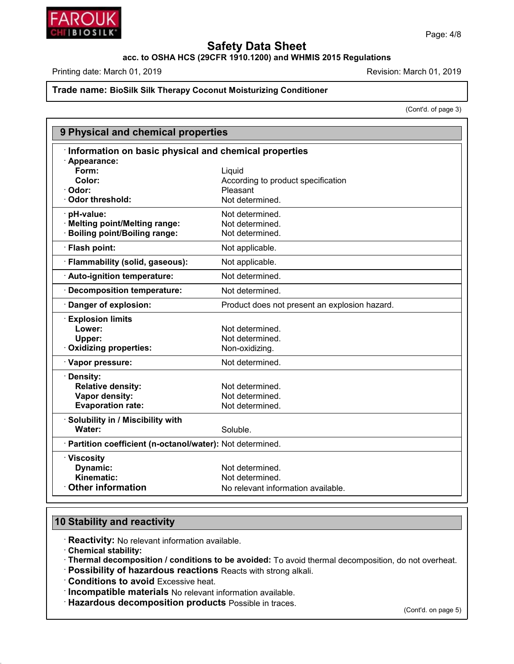

**acc. to OSHA HCS (29CFR 1910.1200) and WHMIS 2015 Regulations**

Printing date: March 01, 2019 **Printing date: March 01, 2019** Revision: March 01, 2019

#### **Trade name: BioSilk Silk Therapy Coconut Moisturizing Conditioner**

(Cont'd. of page 3)

| 9 Physical and chemical properties                         |                                               |  |  |  |
|------------------------------------------------------------|-----------------------------------------------|--|--|--|
| Information on basic physical and chemical properties      |                                               |  |  |  |
| · Appearance:                                              |                                               |  |  |  |
| Form:                                                      | Liquid                                        |  |  |  |
| Color:                                                     | According to product specification            |  |  |  |
| · Odor:                                                    | Pleasant                                      |  |  |  |
| Odor threshold:                                            | Not determined.                               |  |  |  |
| · pH-value:                                                | Not determined.                               |  |  |  |
| · Melting point/Melting range:                             | Not determined.                               |  |  |  |
| <b>Boiling point/Boiling range:</b>                        | Not determined.                               |  |  |  |
| · Flash point:                                             | Not applicable.                               |  |  |  |
| · Flammability (solid, gaseous):                           | Not applicable.                               |  |  |  |
| · Auto-ignition temperature:                               | Not determined.                               |  |  |  |
| Decomposition temperature:                                 | Not determined.                               |  |  |  |
| Danger of explosion:                                       | Product does not present an explosion hazard. |  |  |  |
| <b>Explosion limits</b>                                    |                                               |  |  |  |
| Lower:                                                     | Not determined.                               |  |  |  |
| Upper:                                                     | Not determined.                               |  |  |  |
| · Oxidizing properties:                                    | Non-oxidizing.                                |  |  |  |
| · Vapor pressure:                                          | Not determined.                               |  |  |  |
| · Density:                                                 |                                               |  |  |  |
| <b>Relative density:</b>                                   | Not determined.                               |  |  |  |
| Vapor density:                                             | Not determined.                               |  |  |  |
| <b>Evaporation rate:</b>                                   | Not determined.                               |  |  |  |
| Solubility in / Miscibility with                           |                                               |  |  |  |
| Water:                                                     | Soluble.                                      |  |  |  |
| · Partition coefficient (n-octanol/water): Not determined. |                                               |  |  |  |
| · Viscosity                                                |                                               |  |  |  |
| Dynamic:                                                   | Not determined.                               |  |  |  |
| Kinematic:                                                 | Not determined.                               |  |  |  |
| <b>Other information</b>                                   | No relevant information available.            |  |  |  |

#### **10 Stability and reactivity**

· **Reactivity:** No relevant information available.

· **Chemical stability:**

48.0

· **Thermal decomposition / conditions to be avoided:** To avoid thermal decomposition, do not overheat.

· **Possibility of hazardous reactions** Reacts with strong alkali.

· **Conditions to avoid** Excessive heat.

· **Incompatible materials** No relevant information available.

· **Hazardous decomposition products** Possible in traces.

(Cont'd. on page 5)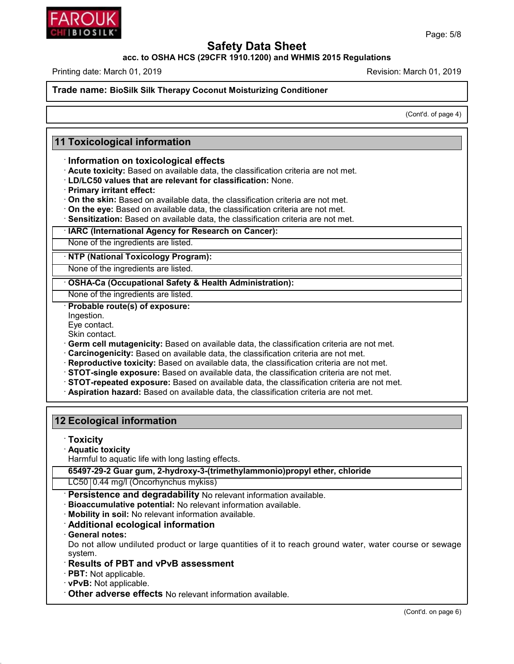

**acc. to OSHA HCS (29CFR 1910.1200) and WHMIS 2015 Regulations**

Printing date: March 01, 2019 **Revision: March 01, 2019** Revision: March 01, 2019

**Trade name: BioSilk Silk Therapy Coconut Moisturizing Conditioner**

(Cont'd. of page 4)

#### **11 Toxicological information**

#### · **Information on toxicological effects**

- · **Acute toxicity:** Based on available data, the classification criteria are not met.
- · **LD/LC50 values that are relevant for classification:** None.
- · **Primary irritant effect:**
- · **On the skin:** Based on available data, the classification criteria are not met.
- · **On the eye:** Based on available data, the classification criteria are not met.
- · **Sensitization:** Based on available data, the classification criteria are not met.

#### · **IARC (International Agency for Research on Cancer):**

None of the ingredients are listed.

· **NTP (National Toxicology Program):**

None of the ingredients are listed.

· **OSHA-Ca (Occupational Safety & Health Administration):**

None of the ingredients are listed.

· **Probable route(s) of exposure:**

- Ingestion.
- Eye contact.

Skin contact.

- · **Germ cell mutagenicity:** Based on available data, the classification criteria are not met.
- · **Carcinogenicity:** Based on available data, the classification criteria are not met.
- · **Reproductive toxicity:** Based on available data, the classification criteria are not met.
- · **STOT-single exposure:** Based on available data, the classification criteria are not met.
- · **STOT-repeated exposure:** Based on available data, the classification criteria are not met.
- · **Aspiration hazard:** Based on available data, the classification criteria are not met.

#### **12 Ecological information**

· **Toxicity**

· **Aquatic toxicity**

Harmful to aquatic life with long lasting effects.

**65497-29-2 Guar gum, 2-hydroxy-3-(trimethylammonio)propyl ether, chloride**

### LC50 0.44 mg/l (Oncorhynchus mykiss)

· **Persistence and degradability** No relevant information available.

· **Bioaccumulative potential:** No relevant information available.

· **Mobility in soil:** No relevant information available.

#### · **Additional ecological information**

· **General notes:**

48.0

Do not allow undiluted product or large quantities of it to reach ground water, water course or sewage system.

#### · **Results of PBT and vPvB assessment**

· **PBT:** Not applicable.

- · **vPvB:** Not applicable.
- · **Other adverse effects** No relevant information available.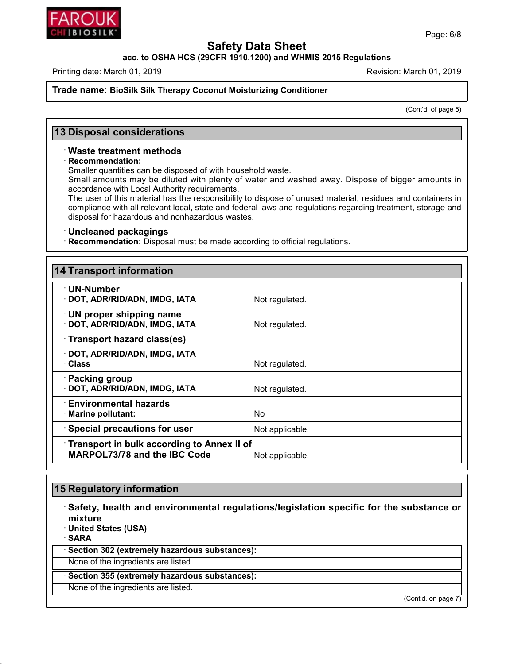

**acc. to OSHA HCS (29CFR 1910.1200) and WHMIS 2015 Regulations**

Printing date: March 01, 2019 **Revision: March 01, 2019** Revision: March 01, 2019

**Trade name: BioSilk Silk Therapy Coconut Moisturizing Conditioner**

(Cont'd. of page 5)

#### **13 Disposal considerations**

#### · **Waste treatment methods**

#### · **Recommendation:**

Smaller quantities can be disposed of with household waste.

Small amounts may be diluted with plenty of water and washed away. Dispose of bigger amounts in accordance with Local Authority requirements.

The user of this material has the responsibility to dispose of unused material, residues and containers in compliance with all relevant local, state and federal laws and regulations regarding treatment, storage and disposal for hazardous and nonhazardous wastes.

#### · **Uncleaned packagings**

· **Recommendation:** Disposal must be made according to official regulations.

| <b>14 Transport information</b>                                                   |                 |
|-----------------------------------------------------------------------------------|-----------------|
| $\cdot$ UN-Number<br>· DOT, ADR/RID/ADN, IMDG, IATA                               | Not regulated.  |
| $\cdot$ UN proper shipping name<br>· DOT, ADR/RID/ADN, IMDG, IATA                 | Not regulated.  |
| · Transport hazard class(es)                                                      |                 |
| · DOT, ADR/RID/ADN, IMDG, IATA<br>· Class                                         | Not regulated.  |
| · Packing group<br>· DOT, ADR/RID/ADN, IMDG, IATA                                 | Not regulated.  |
| <b>Environmental hazards</b><br>· Marine pollutant:                               | No.             |
| $\cdot$ Special precautions for user                                              | Not applicable. |
| Transport in bulk according to Annex II of<br><b>MARPOL73/78 and the IBC Code</b> | Not applicable. |

#### **15 Regulatory information**

· **Safety, health and environmental regulations/legislation specific for the substance or mixture**

· **United States (USA)**

· **SARA**

48.0

· **Section 302 (extremely hazardous substances):**

None of the ingredients are listed.

· **Section 355 (extremely hazardous substances):**

None of the ingredients are listed.

(Cont'd. on page 7)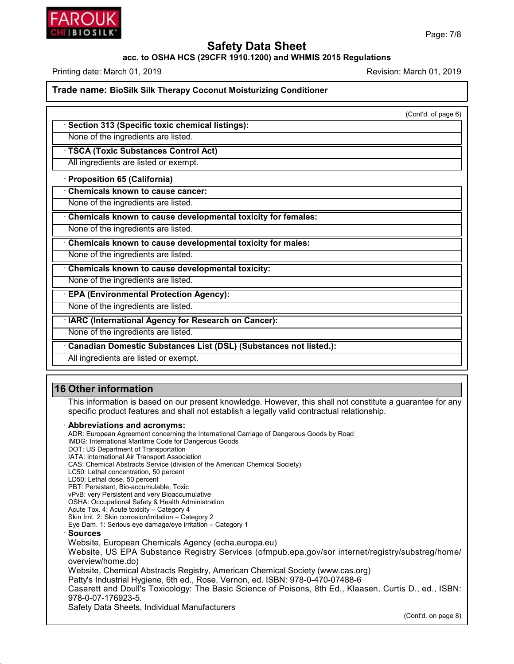

#### **acc. to OSHA HCS (29CFR 1910.1200) and WHMIS 2015 Regulations**

Printing date: March 01, 2019 **Printing date: March 01, 2019** Revision: March 01, 2019

#### **Trade name: BioSilk Silk Therapy Coconut Moisturizing Conditioner**

(Cont'd. of page 6)

· **Section 313 (Specific toxic chemical listings):**

None of the ingredients are listed.

· **TSCA (Toxic Substances Control Act)**

All ingredients are listed or exempt.

· **Proposition 65 (California)**

· **Chemicals known to cause cancer:**

None of the ingredients are listed.

· **Chemicals known to cause developmental toxicity for females:**

None of the ingredients are listed.

· **Chemicals known to cause developmental toxicity for males:**

None of the ingredients are listed.

· **Chemicals known to cause developmental toxicity:**

None of the ingredients are listed.

· **EPA (Environmental Protection Agency):**

None of the ingredients are listed.

· **IARC (International Agency for Research on Cancer):**

None of the ingredients are listed.

· **Canadian Domestic Substances List (DSL) (Substances not listed.):**

All ingredients are listed or exempt.

### **16 Other information**

48.0

This information is based on our present knowledge. However, this shall not constitute a guarantee for any specific product features and shall not establish a legally valid contractual relationship.

#### · **Abbreviations and acronyms:**

ADR: European Agreement concerning the International Carriage of Dangerous Goods by Road IMDG: International Maritime Code for Dangerous Goods DOT: US Department of Transportation IATA: International Air Transport Association CAS: Chemical Abstracts Service (division of the American Chemical Society) LC50: Lethal concentration, 50 percent LD50: Lethal dose, 50 percent PBT: Persistant, Bio-accumulable, Toxic vPvB: very Persistent and very Bioaccumulative OSHA: Occupational Safety & Health Administration Acute Tox. 4: Acute toxicity – Category 4 Skin Irrit. 2: Skin corrosion/irritation – Category 2 Eye Dam. 1: Serious eye damage/eye irritation – Category 1 · **Sources** Website, European Chemicals Agency (echa.europa.eu) Website, US EPA Substance Registry Services (ofmpub.epa.gov/sor internet/registry/substreg/home/ overview/home.do) Website, Chemical Abstracts Registry, American Chemical Society (www.cas.org) Patty's Industrial Hygiene, 6th ed., Rose, Vernon, ed. ISBN: 978-0-470-07488-6 Casarett and Doull's Toxicology: The Basic Science of Poisons, 8th Ed., Klaasen, Curtis D.,ed., ISBN: 978-0-07-176923-5. Safety Data Sheets, Individual Manufacturers (Cont'd. on page 8)